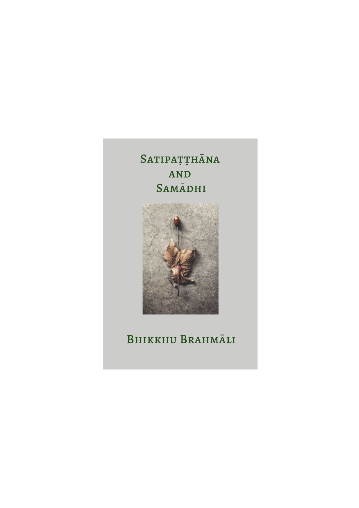SATIPAȚȚHANA AND SAMĀDHI



#### **BHIKKHU BRAHMĀLI**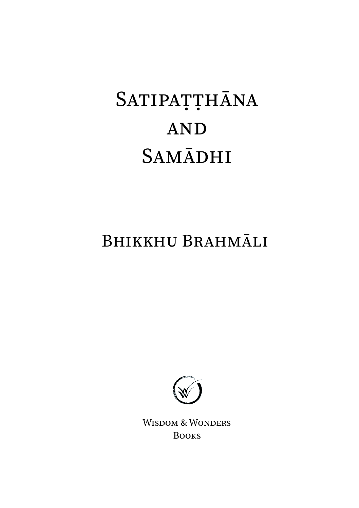# SATIPAȚȚHĀNA AND SAMĀDHI

### BHIKKHU BRAHMĀLI



WISDOM & WONDERS BOOKS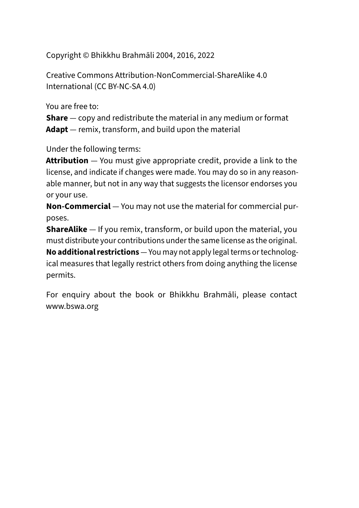Copyright © Bhikkhu Brahmāli 2004, 2016, 2022

Creative Commons Attribution-NonCommercial-ShareAlike 4.0 International (CC BY-NC-SA 4.0)

You are free to:

**Share** — copy and redistribute the material in any medium or format **Adapt** — remix, transform, and build upon the material

Under the following terms:

**Attribution** — You must give appropriate credit, provide a link to the license, and indicate if changes were made. You may do so in any reasonable manner, but not in any way that suggests the licensor endorses you or your use.

**Non-Commercial** — You may not use the material for commercial purposes.

**ShareAlike** — If you remix, transform, or build upon the material, you must distribute your contributions under the same license as the original. **No additional restrictions** — You may not apply legal terms or technological measures that legally restrict others from doing anything the license permits.

For enquiry about the book or Bhikkhu Brahmāli, please contact www.bswa.org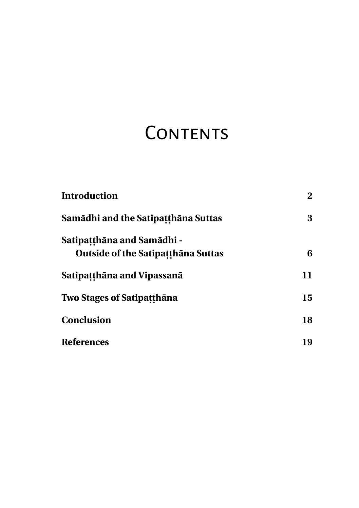### **CONTENTS**

| Introduction                              | 2  |
|-------------------------------------------|----|
| Samādhi and the Satipaṭṭhāna Suttas       | 3  |
| Satipatthāna and Samādhi -                |    |
| <b>Outside of the Satipatthana Suttas</b> | 6  |
| Satipatthāna and Vipassanā                | 11 |
| <b>Two Stages of Satipatthana</b>         | 15 |
| <b>Conclusion</b>                         | 18 |
| <b>References</b>                         | 19 |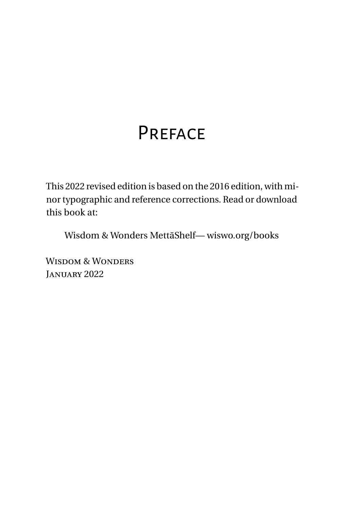### **PREFACE**

This 2022 revised edition is based on the 2016 edition, with minor typographic and reference corrections. Read or download this book at:

Wisdom & Wonders MettāShelf— wiswo.org/books

WISDOM & WONDERS JANUARY 2022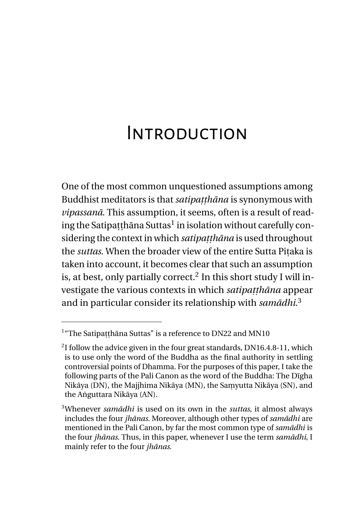### <span id="page-5-0"></span>Introduction

One of the most common unquestioned assumptions among Buddhist meditators is that *satipaṭṭhāna* is synonymous with *vipassanā*. This assumption, it seems, often is a result of reading the Satipaṭṭhāna Suttas<sup>1</sup> in isolation without carefully considering the context in which *satipaṭṭhāna* is used throughout the *suttas*. When the broader view of the entire Sutta Piṭaka is taken into account, it becomes clear that such an assumption is, at best, only partially correct.<sup>2</sup> In this short study I will investigate the various contexts in which *satipaṭṭhāna* appear and in particular consider its relationship with *samādhi*. 3

<sup>&</sup>lt;sup>1</sup>"The Satipaṭṭhāna Suttas" is a reference to DN22 and MN10

 $^{2}$ I follow the advice given in the four great standards, DN16.4.8-11, which is to use only the word of the Buddha as the final authority in settling controversial points of Dhamma. For the purposes of this paper, I take the following parts of the Pali Canon as the word of the Buddha: The Dīgha Nikāya (DN), the Majjhima Nikāya (MN), the Saṃyutta Nikāya (SN), and the Aṅguttara Nikāya (AN).

<sup>3</sup>Whenever *samādhi* is used on its own in the *suttas*, it almost always includes the four *jhānas*. Moreover, although other types of *samādhi* are mentioned in the Pali Canon, by far the most common type of *samādhi* is the four *jhānas*. Thus, in this paper, whenever I use the term *samādhi*, I mainly refer to the four *jhānas*.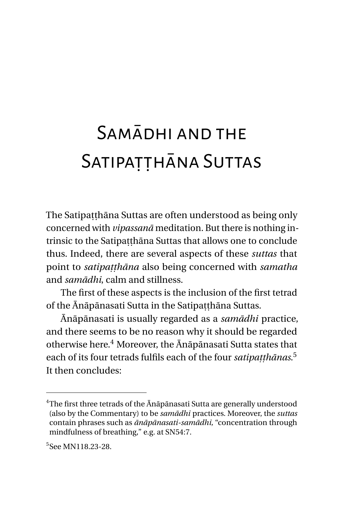## <span id="page-6-0"></span>Samādhi and the SATIPATȚHANA SUTTAS

The Satipatthāna Suttas are often understood as being only concerned with *vipassanā* meditation. But there is nothing intrinsic to the Satipatthāna Suttas that allows one to conclude thus. Indeed, there are several aspects of these *suttas* that point to *satipaṭṭhāna* also being concerned with *samatha* and *samādhi*, calm and stillness.

The first of these aspects is the inclusion of the first tetrad of the Ānāpānasati Sutta in the Satipaṭṭhāna Suttas.

Ānāpānasati is usually regarded as a *samādhi* practice, and there seems to be no reason why it should be regarded otherwise here.<sup>4</sup> Moreover, the Ānāpānasati Sutta states that each of its four tetrads fulfils each of the four *satipaṭṭhānas*. 5 It then concludes:

<sup>&</sup>lt;sup>4</sup>The first three tetrads of the Ānāpānasati Sutta are generally understood (also by the Commentary) to be *samādhi* practices. Moreover, the *suttas* contain phrases such as *ānāpānasati-samādhi,* "concentration through mindfulness of breathing," e.g. at SN54:7.

<sup>5</sup> See MN118.23-28.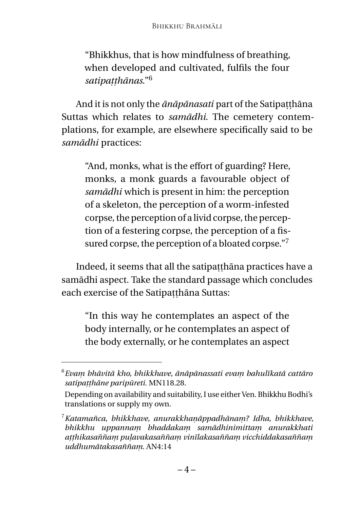"Bhikkhus, that is how mindfulness of breathing, when developed and cultivated, fulfils the four *satipaṭṭhānas*."<sup>6</sup>

And it is not only the *ānāpānasati* part of the Satipaṭṭhāna Suttas which relates to *samādhi*. The cemetery contemplations, for example, are elsewhere specifically said to be *samādhi* practices:

"And, monks, what is the effort of guarding? Here, monks, a monk guards a favourable object of *samādhi* which is present in him: the perception of a skeleton, the perception of a worm-infested corpse, the perception of a livid corpse, the perception of a festering corpse, the perception of a fissured corpse, the perception of a bloated corpse."<sup>7</sup>

Indeed, it seems that all the satipatthāna practices have a samādhi aspect. Take the standard passage which concludes each exercise of the Satipatthāna Suttas:

"In this way he contemplates an aspect of the body internally, or he contemplates an aspect of the body externally, or he contemplates an aspect

<sup>6</sup>*Evaṃ bhāvitā kho, bhikkhave, ānāpānassati evaṃ bahulīkatā cattāro satipaṭṭhāne paripūreti.* MN118.28.

Depending on availability and suitability, I use either Ven. Bhikkhu Bodhi's translations or supply my own.

<sup>7</sup>*Katamañca, bhikkhave, anurakkhaṇāppadhānaṃ? Idha, bhikkhave, bhikkhu uppannaṃ bhaddakaṃ samādhinimittaṃ anurakkhati aṭṭhikasaññaṃ puḷavakasaññaṃ vinīlakasaññaṃ vicchiddakasaññaṃ uddhumātakasaññaṃ*. AN4:14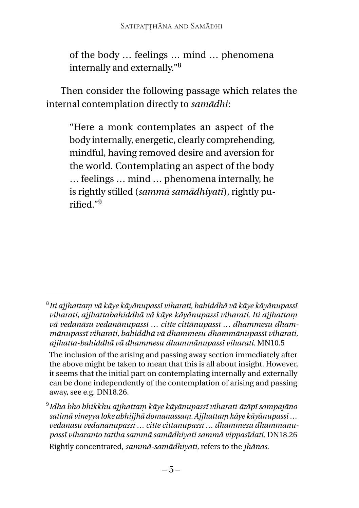of the body … feelings … mind … phenomena internally and externally."<sup>8</sup>

Then consider the following passage which relates the internal contemplation directly to *samādhi*:

"Here a monk contemplates an aspect of the body internally, energetic, clearly comprehending, mindful, having removed desire and aversion for the world. Contemplating an aspect of the body … feelings … mind … phenomena internally, he is rightly stilled (*sammā samādhiyati*), rightly purified."<sup>9</sup>

<sup>8</sup> *Iti ajjhattaṃ vā kāye kāyānupassī viharati, bahiddhā vā kāye kāyānupassī viharati, ajjhattabahiddhā vā kāye kāyānupassī viharati. Iti ajjhattaṃ vā vedanāsu vedanānupassī … citte cittānupassī … dhammesu dhammānupassī viharati, bahiddhā vā dhammesu dhammānupassī viharati, ajjhatta-bahiddhā vā dhammesu dhammānupassī viharati.* MN10.5

The inclusion of the arising and passing away section immediately after the above might be taken to mean that this is all about insight. However, it seems that the initial part on contemplating internally and externally can be done independently of the contemplation of arising and passing away, see e.g. DN18.26.

<sup>9</sup> *Idha bho bhikkhu ajjhattaṃ kāye kāyānupassī viharati ātāpī sampajāno satimā vineyya loke abhijjhā domanassaṃ. Ajjhattaṃ kāye kāyānupassī … vedanāsu vedanānupassī … citte cittānupassī … dhammesu dhammānupassī viharanto tattha sammā samādhiyati sammā vippasīdati.* DN18.26 Rightly concentrated, *sammā-samādhiyati,* refers to the *jhānas*.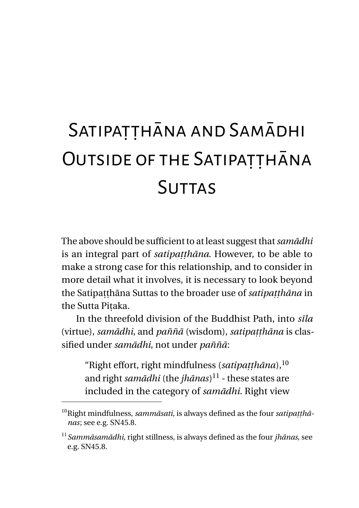## <span id="page-9-0"></span>SATIPAȚȚHANA AND SAMADHI OUTSIDE OF THE SATIPATTHANA **SUTTAS**

The above should be sufficient to at least suggest that*samādhi* is an integral part of *satipaṭṭhāna*. However, to be able to make a strong case for this relationship, and to consider in more detail what it involves, it is necessary to look beyond the Satipaṭṭhāna Suttas to the broader use of *satipaṭṭhāna* in the Sutta Piṭaka.

In the threefold division of the Buddhist Path, into *sīla* (virtue), *samādhi*, and *paññā* (wisdom), *satipaṭṭhāna* is classified under *samādhi*, not under *paññā*:

"Right effort, right mindfulness (*satipaṭṭhāna*),<sup>10</sup> and right*samādhi* (the *jhānas*) <sup>11</sup> - these states are included in the category of *samādhi*. Right view

<sup>10</sup>Right mindfulness, *sammāsati*, is always defined as the four *satipaṭṭhānas*; see e.g. SN45.8.

<sup>11</sup>*Sammāsamādhi*, right stillness, is always defined as the four *jhānas*, see e.g. SN45.8.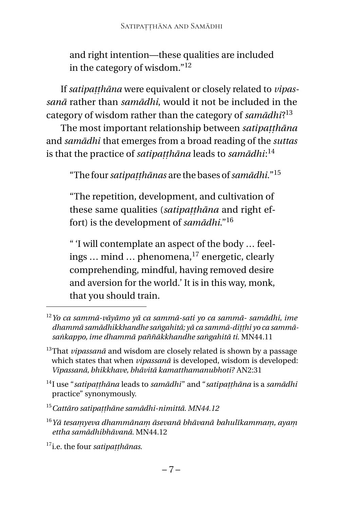and right intention—these qualities are included in the category of wisdom."<sup>12</sup>

If *satipaṭṭhāna* were equivalent or closely related to *vipassanā* rather than *samādhi*, would it not be included in the category of wisdom rather than the category of *samādhi*? 13

The most important relationship between *satipaṭṭhāna* and *samādhi* that emerges from a broad reading of the *suttas* is that the practice of *satipaṭṭhāna* leads to *samādhi*: 14

"The four*satipaṭṭhānas* are the bases of*samādhi.*" 15

"The repetition, development, and cultivation of these same qualities (*satipaṭṭhāna* and right effort) is the development of *samādhi*."<sup>16</sup>

" 'I will contemplate an aspect of the body … feelings  $\ldots$  mind  $\ldots$  phenomena,<sup>17</sup> energetic, clearly comprehending, mindful, having removed desire and aversion for the world.' It is in this way, monk, that you should train.

<sup>12</sup>*Yo ca sammā-vāyāmo yā ca sammā-sati yo ca sammā- samādhi, ime dhammā samādhikkhandhe saṅgahitā; yā ca sammā-diṭṭhi yo ca sammāsaṅkappo, ime dhammā paññākkhandhe saṅgahitā ti.* MN44.11

<sup>&</sup>lt;sup>13</sup>That *vipassanā* and wisdom are closely related is shown by a passage which states that when *vipassanā* is developed, wisdom is developed: *Vipassanā, bhikkhave, bhāvitā kamatthamanubhoti?* AN2:31

<sup>14</sup>I use "*satipaṭṭhāna* leads to *samādhi*" and "*satipaṭṭhāna* is a *samādhi* practice" synonymously.

<sup>15</sup>*Cattāro satipaṭṭhāne samādhi-nimittā. MN44.12*

<sup>16</sup>*Yā tesaṃyeva dhammānaṃ āsevanā bhāvanā bahulīkammaṃ, ayaṃ ettha samādhibhāvanā.* MN44.12

<sup>17</sup>i.e. the four *satipaṭṭhānas*.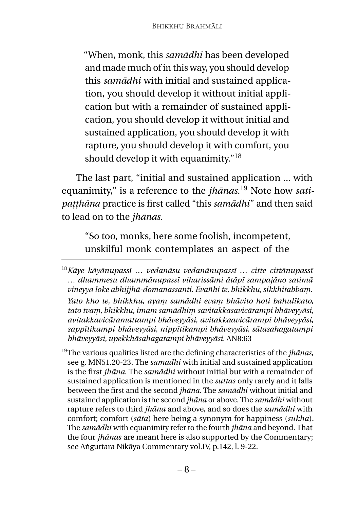"When, monk, this *samādhi* has been developed and made much of in this way, you should develop this *samādhi* with initial and sustained application, you should develop it without initial application but with a remainder of sustained application, you should develop it without initial and sustained application, you should develop it with rapture, you should develop it with comfort, you should develop it with equanimity."<sup>18</sup>

The last part, "initial and sustained application ... with equanimity," is a reference to the *jhānas*. <sup>19</sup> Note how *satipaṭṭhāna* practice is first called "this *samādhi*" and then said to lead on to the *jhānas*.

"So too, monks, here some foolish, incompetent, unskilful monk contemplates an aspect of the

*Yato kho te, bhikkhu, ayaṃ samādhi evaṃ bhāvito hoti bahulīkato, tato tvaṃ, bhikkhu, imaṃ samādhiṃ savitakkasavicārampi bhāveyyāsi, avitakkavicāramattampi bhāveyyāsi, avitakkaavicārampi bhāveyyāsi, sappītikampi bhāveyyāsi, nippītikampi bhāveyyāsi, sātasahagatampi bhāveyyāsi, upekkhāsahagatampi bhāveyyāsi.* AN8:63

<sup>19</sup>The various qualities listed are the defining characteristics of the *jhānas*, see g. MN51.20-23. The *samādhi* with initial and sustained application is the first *jhāna*. The *samādhi* without initial but with a remainder of sustained application is mentioned in the *suttas* only rarely and it falls between the first and the second *jhāna*. The *samādhi* without initial and sustained application is the second *jhāna* or above. The *samādhi* without rapture refers to third *jhāna* and above, and so does the *samādhi* with comfort; comfort (*sāta*) here being a synonym for happiness (*sukha*). The *samādhi* with equanimity refer to the fourth *jhāna* and beyond. That the four *jhānas* are meant here is also supported by the Commentary; see Aṅguttara Nikāya Commentary vol.IV, p.142, l. 9-22.

<sup>18</sup>*Kāye kāyānupassī … vedanāsu vedanānupassī … citte cittānupassī … dhammesu dhammānupassī viharissāmi ātāpī sampajāno satimā vineyya loke abhijjhā-domanassanti. Evañhi te, bhikkhu, sikkhitabbaṃ.*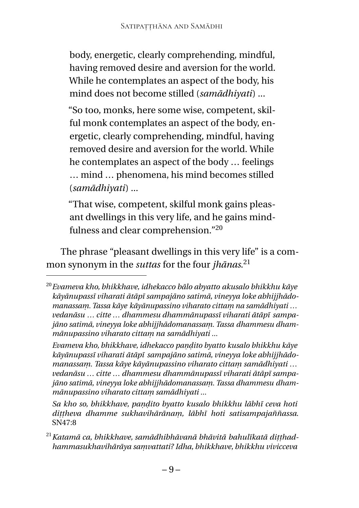body, energetic, clearly comprehending, mindful, having removed desire and aversion for the world. While he contemplates an aspect of the body, his mind does not become stilled (*samādhiyati*) ...

"So too, monks, here some wise, competent, skilful monk contemplates an aspect of the body, energetic, clearly comprehending, mindful, having removed desire and aversion for the world. While he contemplates an aspect of the body … feelings … mind … phenomena, his mind becomes stilled (*samādhiyati*) ...

"That wise, competent, skilful monk gains pleasant dwellings in this very life, and he gains mindfulness and clear comprehension."<sup>20</sup>

The phrase "pleasant dwellings in this very life" is a common synonym in the *suttas* for the four *jhānas*. 21

<sup>20</sup>*Evameva kho, bhikkhave, idhekacco bālo abyatto akusalo bhikkhu kāye kāyānupassī viharati ātāpī sampajāno satimā, vineyya loke abhijjhādomanassaṃ. Tassa kāye kāyānupassino viharato cittaṃ na samādhiyati … vedanāsu … citte … dhammesu dhammānupassī viharati ātāpī sampajāno satimā, vineyya loke abhijjhādomanassaṃ. Tassa dhammesu dhammānupassino viharato cittaṃ na samādhiyati ...*

*Evameva kho, bhikkhave, idhekacco paṇḍito byatto kusalo bhikkhu kāye kāyānupassī viharati ātāpī sampajāno satimā, vineyya loke abhijjhādomanassaṃ. Tassa kāye kāyānupassino viharato cittaṃ samādhiyati … vedanāsu … citte … dhammesu dhammānupassī viharati ātāpī sampajāno satimā, vineyya loke abhijjhādomanassaṃ. Tassa dhammesu dhammānupassino viharato cittaṃ samādhiyati ...*

*Sa kho so, bhikkhave, paṇḍito byatto kusalo bhikkhu lābhī ceva hoti diṭṭheva dhamme sukhavihārānaṃ, lābhī hoti satisampajaññassa*. SN47:8

<sup>21</sup>*Katamā ca, bhikkhave, samādhibhāvanā bhāvitā bahulīkatā diṭṭhadhammasukhavihārāya saṃvattati? Idha, bhikkhave, bhikkhu vivicceva*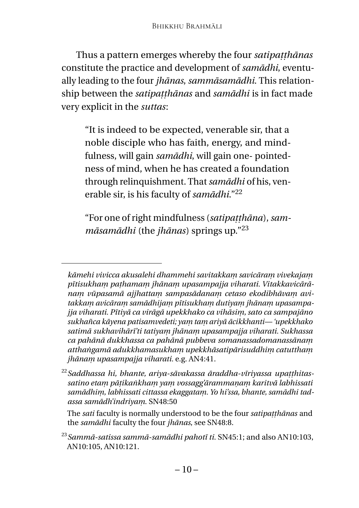Thus a pattern emerges whereby the four *satipaṭṭhānas* constitute the practice and development of *samādhi*, eventually leading to the four *jhānas*, *sammāsamādhi*. This relationship between the *satipaṭṭhānas* and *samādhi* is in fact made very explicit in the *suttas*:

"It is indeed to be expected, venerable sir, that a noble disciple who has faith, energy, and mindfulness, will gain *samādhi*, will gain one- pointedness of mind, when he has created a foundation through relinquishment. That*samādhi* of his, venerable sir, is his faculty of *samādhi*."<sup>22</sup>

"For one of right mindfulness (*satipaṭṭhāna*),*sammāsamādhi* (the *jhānas*) springs up."<sup>23</sup>

*kāmehi vivicca akusalehi dhammehi savitakkaṃ savicāraṃ vivekajaṃ pītisukhaṃ paṭhamaṃ jhānaṃ upasampajja viharati. Vitakkavicārānaṃ vūpasamā ajjhattaṃ sampasādanaṃ cetaso ekodibhāvaṃ avitakkaṃ avicāraṃ samādhijaṃ pītisukhaṃ dutiyaṃ jhānaṃ upasampajja viharati. Pītiyā ca virāgā upekkhako ca vihāsiṃ, sato ca sampajāno sukhañca kāyena patisamvedeti; yaṃ taṃ ariyā ācikkhanti— 'upekkhako satimā sukhavihārī'ti tatiyaṃ jhānaṃ upasampajja viharati. Sukhassa ca pahānā dukkhassa ca pahānā pubbeva somanassadomanassānaṃ atthaṅgamā adukkhamasukhaṃ upekkhāsatipārisuddhiṃ catutthaṃ jhānaṃ upasampajja viharati.* e.g. AN4:41.

<sup>&</sup>lt;sup>22</sup> Saddhassa hi, bhante, ariya-sāvakassa āraddha-vīriyassa upatthitas*satino etaṃ pāṭikaṅkhaṃ yaṃ vossagg'ārammaṇaṃ karitvā labhissati samādhiṃ, labhissati cittassa ekaggataṃ. Yo hi'ssa, bhante, samādhi tadassa samādh'indriyaṃ*. SN48:50

The *sati* faculty is normally understood to be the four *satipaṭṭhānas* and the *samādhi* faculty the four *jhānas*, see SN48:8.

<sup>23</sup>*Sammā-satissa sammā-samādhi pahotī ti.* SN45:1; and also AN10:103, AN10:105, AN10:121.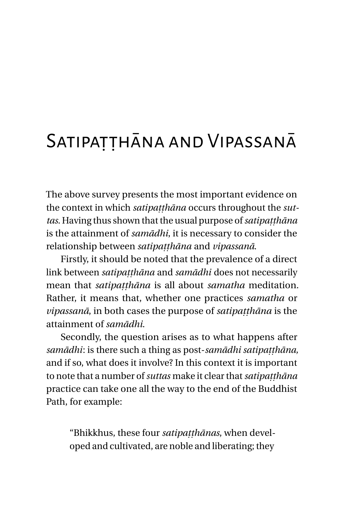### <span id="page-14-0"></span>SATIPATTHANA AND VIPASSANA

The above survey presents the most important evidence on the context in which *satipaṭṭhāna* occurs throughout the *suttas*. Having thus shown that the usual purpose of*satipaṭṭhāna* is the attainment of *samādhi*, it is necessary to consider the relationship between *satipaṭṭhāna* and *vipassanā*.

Firstly, it should be noted that the prevalence of a direct link between *satipaṭṭhāna* and *samādhi* does not necessarily mean that *satipaṭṭhāna* is all about *samatha* meditation. Rather, it means that, whether one practices *samatha* or *vipassanā*, in both cases the purpose of *satipaṭṭhāna* is the attainment of *samādhi*.

Secondly, the question arises as to what happens after *samādhi*: is there such a thing as post-*samādhi satipaṭṭhāna,* and if so, what does it involve? In this context it is important to note that a number of*suttas* make it clear that*satipaṭṭhāna* practice can take one all the way to the end of the Buddhist Path, for example:

"Bhikkhus, these four *satipaṭṭhānas*, when developed and cultivated, are noble and liberating; they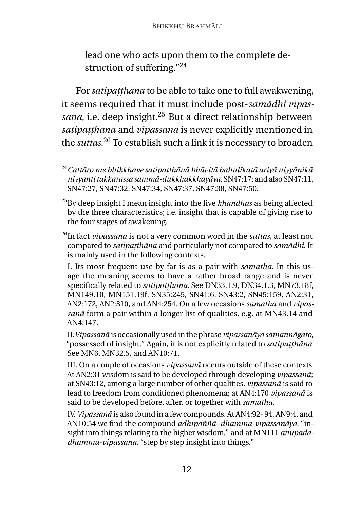lead one who acts upon them to the complete destruction of suffering."<sup>24</sup>

For*satipaṭṭhāna* to be able to take one to full awakwening, it seems required that it must include post-*samādhi vipassanā*, i.e. deep insight.<sup>25</sup> But a direct relationship between *satipaṭṭhāna* and *vipassanā* is never explicitly mentioned in the *suttas*. <sup>26</sup> To establish such a link it is necessary to broaden

II.*Vipassanā* is occasionally used in the phrase *vipassanāya samannāgato*, "possessed of insight." Again, it is not explicitly related to *satipaṭṭhāna*. See MN6, MN32.5, and AN10:71.

III. On a couple of occasions *vipassanā* occurs outside of these contexts. At AN2:31 wisdom is said to be developed through developing *vipassanā*; at SN43:12, among a large number of other qualities, *vipassanā* is said to lead to freedom from conditioned phenomena; at AN4:170 *vipassanā* is said to be developed before, after, or together with *samatha*.

IV. *Vipassanā* is also found in a few compounds. At AN4:92- 94, AN9:4, and AN10:54 we find the compound *adhipaññā- dhamma-vipassanāya*, "insight into things relating to the higher wisdom," and at MN111 *anupadadhamma-vipassanā*, "step by step insight into things."

<sup>24</sup>*Cattāro me bhikkhave satipatthānā bhāvitā bahulīkatā ariyā niyyānikā niyyanti takkarassa sammā-dukkhakkhayāya.* SN47:17; and also SN47:11, SN47:27, SN47:32, SN47:34, SN47:37, SN47:38, SN47:50.

<sup>25</sup>By deep insight I mean insight into the five *khandhas* as being affected by the three characteristics; i.e. insight that is capable of giving rise to the four stages of awakening.

<sup>26</sup>In fact *vipassanā* is not a very common word in the *suttas*, at least not compared to *satipaṭṭhāna* and particularly not compared to *samādhi*. It is mainly used in the following contexts.

I. Its most frequent use by far is as a pair with *samatha*. In this usage the meaning seems to have a rather broad range and is never specifically related to *satipaṭṭhāna*. See DN33.1.9, DN34.1.3, MN73.18f, MN149.10, MN151.19f, SN35:245, SN41:6, SN43:2, SN45:159, AN2:31, AN2:172, AN2:310, and AN4:254. On a few occasions *samatha* and *vipassanā* form a pair within a longer list of qualities, e.g. at MN43.14 and AN4:147.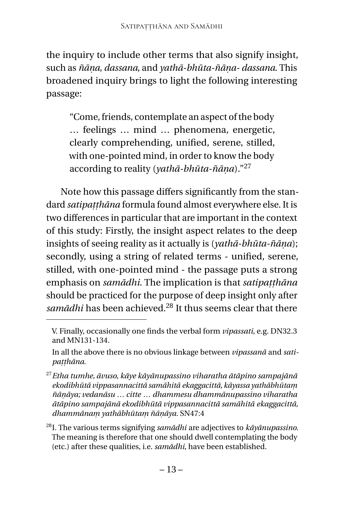the inquiry to include other terms that also signify insight, such as *ñāṇa*, *dassana*, and *yathā-bhūta-ñāṇa- dassana*. This broadened inquiry brings to light the following interesting passage:

"Come, friends, contemplate an aspect of the body … feelings … mind … phenomena, energetic, clearly comprehending, unified, serene, stilled, with one-pointed mind, in order to know the body according to reality (*yathā-bhūta-ñāṇa*)."<sup>27</sup>

Note how this passage differs significantly from the standard *satipaṭṭhāna* formula found almost everywhere else. It is two differences in particular that are important in the context of this study: Firstly, the insight aspect relates to the deep insights of seeing reality as it actually is (*yathā-bhūta-ñāṇa*); secondly, using a string of related terms - unified, serene, stilled, with one-pointed mind - the passage puts a strong emphasis on *samādhi*. The implication is that *satipaṭṭhāna* should be practiced for the purpose of deep insight only after *samādhi* has been achieved.<sup>28</sup> It thus seems clear that there

V. Finally, occasionally one finds the verbal form *vipassati*, e.g. DN32.3 and MN131-134.

In all the above there is no obvious linkage between *vipassanā* and *satipaṭṭhāna*.

<sup>27</sup>*Etha tumhe, āvuso, kāye kāyānupassino viharatha ātāpino sampajānā ekodibhūtā vippasannacittā samāhitā ekaggacittā, kāyassa yathābhūtaṃ ñāṇāya; vedanāsu … citte … dhammesu dhammānupassino viharatha ātāpino sampajānā ekodibhūtā vippasannacittā samāhitā ekaggacittā, dhammānaṃ yathābhūtaṃ ñāṇāya.* SN47:4

<sup>28</sup>I. The various terms signifying *samādhi* are adjectives to *kāyānupassino*. The meaning is therefore that one should dwell contemplating the body (etc.) after these qualities, i.e. *samādhi*, have been established.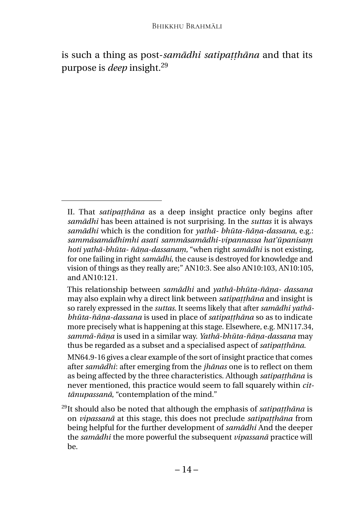is such a thing as post-*samādhi satipaṭṭhāna* and that its purpose is *deep* insight.<sup>29</sup>

MN64.9-16 gives a clear example of the sort of insight practice that comes after *samādhi*: after emerging from the *jhānas* one is to reflect on them as being affected by the three characteristics. Although *satipaṭṭhāna* is never mentioned, this practice would seem to fall squarely within *cittānupassanā*, "contemplation of the mind."

<sup>29</sup>It should also be noted that although the emphasis of *satipaṭṭhāna* is on *vipassanā* at this stage, this does not preclude *satipaṭṭhāna* from being helpful for the further development of *samādhi* And the deeper the *samādhi* the more powerful the subsequent *vipassanā* practice will be.

II. That *satipaṭṭhāna* as a deep insight practice only begins after *samādhi* has been attained is not surprising. In the *suttas* it is always *samādhi* which is the condition for *yathā- bhūta-ñāṇa-dassana*, e.g.: *sammāsamādhimhi asati sammāsamādhi-vipannassa hat'ūpanisaṃ hoti yathā-bhūta- ñāṇa-dassanaṃ,* "when right *samādhi* is not existing, for one failing in right *samādhi*, the cause is destroyed for knowledge and vision of things as they really are;" AN10:3. See also AN10:103, AN10:105, and AN10:121.

This relationship between *samādhi* and *yathā-bhūta-ñāṇa- dassana* may also explain why a direct link between *satipaṭṭhāna* and insight is so rarely expressed in the *suttas*. It seems likely that after *samādhi yathābhūta-ñāṇa-dassana* is used in place of *satipaṭṭhāna* so as to indicate more precisely what is happening at this stage. Elsewhere, e.g. MN117.34, *sammā-ñāṇa* is used in a similar way. *Yathā-bhūta-ñāṇa-dassana* may thus be regarded as a subset and a specialised aspect of *satipaṭṭhāna*.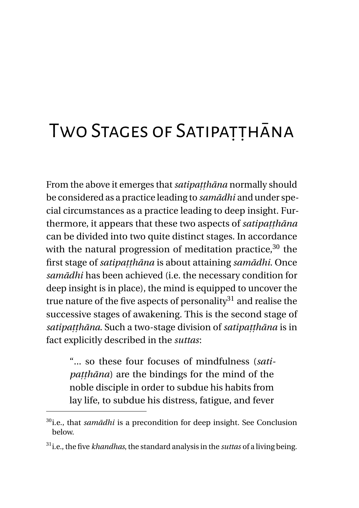### <span id="page-18-0"></span>TWO STAGES OF SATIPATTHANA

From the above it emerges that *satipatthana* normally should be considered as a practice leading to *samādhi* and under special circumstances as a practice leading to deep insight. Furthermore, it appears that these two aspects of *satipaṭṭhāna* can be divided into two quite distinct stages. In accordance with the natural progression of meditation practice,  $30$  the first stage of *satipaṭṭhāna* is about attaining *samādhi*. Once *samādhi* has been achieved (i.e. the necessary condition for deep insight is in place), the mind is equipped to uncover the true nature of the five aspects of personality<sup>31</sup> and realise the successive stages of awakening. This is the second stage of *satipaṭṭhāna*. Such a two-stage division of *satipaṭṭhāna* is in fact explicitly described in the *suttas*:

"... so these four focuses of mindfulness (*satipaṭṭhāna*) are the bindings for the mind of the noble disciple in order to subdue his habits from lay life, to subdue his distress, fatigue, and fever

<sup>30</sup>i.e., that *samādhi* is a precondition for deep insight. See Conclusion below.

<sup>31</sup>i.e., the five *khandhas*, the standard analysis in the *suttas* of a living being.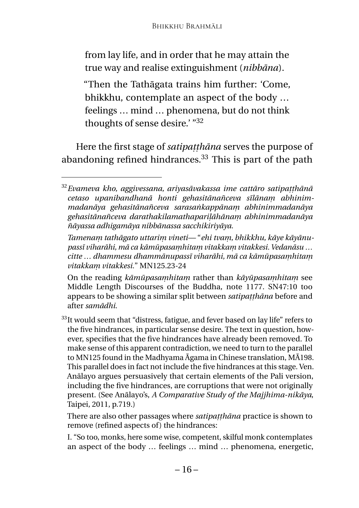from lay life, and in order that he may attain the true way and realise extinguishment (*nibbāna*).

"Then the Tathāgata trains him further: 'Come, bhikkhu, contemplate an aspect of the body … feelings … mind … phenomena, but do not think thoughts of sense desire.' "<sup>32</sup>

Here the first stage of *satipaṭṭhāna* serves the purpose of abandoning refined hindrances.<sup>33</sup> This is part of the path

There are also other passages where *satipaṭṭhāna* practice is shown to remove (refined aspects of) the hindrances:

I. "So too, monks, here some wise, competent, skilful monk contemplates an aspect of the body … feelings … mind … phenomena, energetic,

<sup>32</sup>*Evameva kho, aggivessana, ariyasāvakassa ime cattāro satipaṭṭhānā cetaso upanibandhanā honti gehasitānañceva sīlānaṃ abhinimmadanāya gehasitānañceva sarasaṅkappānaṃ abhinimmadanāya gehasitānañceva darathakilamathapariḷāhānaṃ abhinimmadanāya ñāyassa adhigamāya nibbānassa sacchikiriyāya.*

*Tamenaṃ tathāgato uttariṃ vineti—* "*ehi tvaṃ, bhikkhu, kāye kāyānupassī viharāhi, mā ca kāmūpasaṃhitaṃ vitakkaṃ vitakkesi. Vedanāsu … citte … dhammesu dhammānupassī viharāhi, mā ca kāmūpasaṃhitaṃ vitakkaṃ vitakkesi.*" MN125.23-24

On the reading *kāmūpasaṃhitaṃ* rather than *kāyūpasaṃhitaṃ* see Middle Length Discourses of the Buddha, note 1177. SN47:10 too appears to be showing a similar split between *satipaṭṭhāna* before and after *samādhi*.

<sup>&</sup>lt;sup>33</sup>It would seem that "distress, fatigue, and fever based on lay life" refers to the five hindrances, in particular sense desire. The text in question, however, specifies that the five hindrances have already been removed. To make sense of this apparent contradiction, we need to turn to the parallel to MN125 found in the Madhyama Āgama in Chinese translation, MĀ198. This parallel does in fact not include the five hindrances at this stage. Ven. Anālayo argues persuasively that certain elements of the Pali version, including the five hindrances, are corruptions that were not originally present. (See Anālayo's, *A Comparative Study of the Majjhima-nikāya*, Taipei, 2011, p.719.)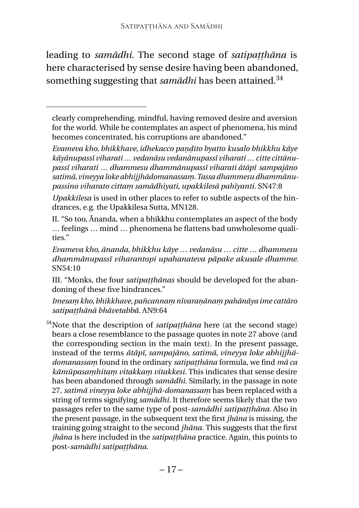leading to *samādhi*. The second stage of *satipaṭṭhāna* is here characterised by sense desire having been abandoned, something suggesting that *samādhi* has been attained.<sup>34</sup>

*Upakkilesa* is used in other places to refer to subtle aspects of the hindrances, e.g. the Upakkilesa Sutta, MN128.

II. "So too, Ānanda, when a bhikkhu contemplates an aspect of the body … feelings … mind … phenomena he flattens bad unwholesome qualities."

*Evameva kho, ānanda, bhikkhu kāye … vedanāsu … citte … dhammesu dhammānupassī viharantopi upahanateva pāpake akusale dhamme.*  $SN54:10$ 

III. "Monks, the four *satipaṭṭhānas* should be developed for the abandoning of these five hindrances."

*Imesaṃ kho, bhikkhave, pañcannaṃ nīvaraṇānaṃ pahānāya ime cattāro satipaṭṭhānā bhāvetabbā.* AN9:64

<sup>34</sup>Note that the description of *satipatthana* here (at the second stage) bears a close resemblance to the passage quotes in note 27 above (and the corresponding section in the main text). In the present passage, instead of the terms *ātāpī, sampajāno, satimā, vineyya loke abhijjhādomanassaṃ* found in the ordinary *satipaṭṭhāna* formula, we find *mā ca kāmūpasaṃhitaṃ vitakkaṃ vitakkesi.* This indicates that sense desire has been abandoned through *samādhi*. Similarly, in the passage in note 27, *satimā vineyya loke abhijjhā-domanassaṃ* has been replaced with a string of terms signifying *samādhi*. It therefore seems likely that the two passages refer to the same type of post-*samādhi satipaṭṭhāna*. Also in the present passage, in the subsequent text the first *jhāna* is missing, the training going straight to the second *jhāna*. This suggests that the first *jhāna* is here included in the *satipaṭṭhāna* practice. Again, this points to post-*samādhi satipaṭṭhāna*.

clearly comprehending, mindful, having removed desire and aversion for the world. While he contemplates an aspect of phenomena, his mind becomes concentrated, his corruptions are abandoned."

*Evameva kho, bhikkhave, idhekacco paṇḍito byatto kusalo bhikkhu kāye kāyānupassī viharati … vedanāsu vedanānupassī viharati … citte cittānupassī viharati … dhammesu dhammānupassī viharati ātāpī sampajāno satimā, vineyya loke abhijjhādomanassaṃ. Tassa dhammesu dhammānupassino viharato cittaṃ samādhiyati, upakkilesā pahīyanti.* SN47:8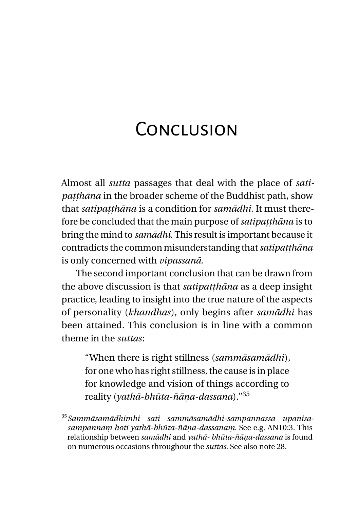#### <span id="page-21-0"></span>**CONCLUSION**

Almost all *sutta* passages that deal with the place of *satipaṭṭhāna* in the broader scheme of the Buddhist path, show that *satipaṭṭhāna* is a condition for *samādhi*. It must therefore be concluded that the main purpose of *satipaṭṭhāna* is to bring the mind to *samādhi*. This result is important because it contradicts the common misunderstanding that*satipaṭṭhāna* is only concerned with *vipassanā*.

The second important conclusion that can be drawn from the above discussion is that *satipaṭṭhāna* as a deep insight practice, leading to insight into the true nature of the aspects of personality (*khandhas*), only begins after *samādhi* has been attained. This conclusion is in line with a common theme in the *suttas*:

"When there is right stillness (*sammāsamādhi*), for one who has right stillness, the cause is in place for knowledge and vision of things according to reality (*yathā-bhūta-ñāṇa-dassana*)."<sup>35</sup>

<sup>35</sup>*Sammāsamādhimhi sati sammāsamādhi-sampannassa upanisasampannaṃ hoti yathā-bhūta-ñāṇa-dassanaṃ*. See e.g. AN10:3. This relationship between *samādhi* and *yathā- bhūta-ñāṇa-dassana* is found on numerous occasions throughout the *suttas*. See also note 28.